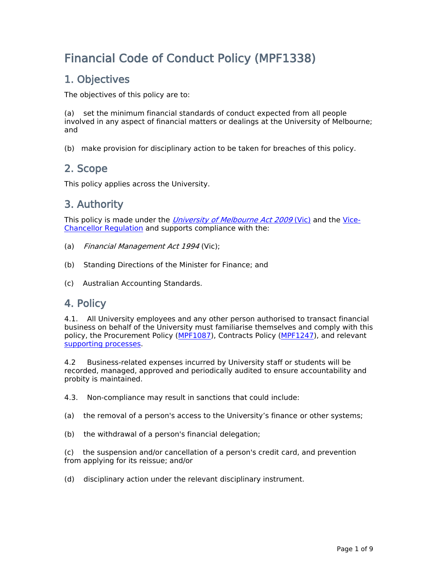# **Financial Code of Conduct Policy (MPF1338)**

## **1. Objectives**

The objectives of this policy are to:

(a) set the minimum financial standards of conduct expected from all people involved in any aspect of financial matters or dealings at the University of Melbourne; and

(b) make provision for disciplinary action to be taken for breaches of this policy.

## **2. Scope**

This policy applies across the University.

## **3. Authority**

This policy is made under the *[University](http://www.legislation.vic.gov.au/domino/Web_Notes/LDMS/LTObject_Store/ltobjst10.nsf/DDE300B846EED9C7CA257616000A3571/57E03E58E80A32E4CA258326007E9CC4/$FILE/09-78aa007%20authorised.pdf) [of](http://www.legislation.vic.gov.au/domino/Web_Notes/LDMS/LTObject_Store/ltobjst10.nsf/DDE300B846EED9C7CA257616000A3571/57E03E58E80A32E4CA258326007E9CC4/$FILE/09-78aa007%20authorised.pdf) [Melbourne](http://www.legislation.vic.gov.au/domino/Web_Notes/LDMS/LTObject_Store/ltobjst10.nsf/DDE300B846EED9C7CA257616000A3571/57E03E58E80A32E4CA258326007E9CC4/$FILE/09-78aa007%20authorised.pdf) [Act](http://www.legislation.vic.gov.au/domino/Web_Notes/LDMS/LTObject_Store/ltobjst10.nsf/DDE300B846EED9C7CA257616000A3571/57E03E58E80A32E4CA258326007E9CC4/$FILE/09-78aa007%20authorised.pdf) [2009](http://www.legislation.vic.gov.au/domino/Web_Notes/LDMS/LTObject_Store/ltobjst10.nsf/DDE300B846EED9C7CA257616000A3571/57E03E58E80A32E4CA258326007E9CC4/$FILE/09-78aa007%20authorised.pdf)* [\(Vic\)](http://www.legislation.vic.gov.au/domino/Web_Notes/LDMS/LTObject_Store/ltobjst10.nsf/DDE300B846EED9C7CA257616000A3571/57E03E58E80A32E4CA258326007E9CC4/$FILE/09-78aa007%20authorised.pdf) and the [Vice-](https://about.unimelb.edu.au/strategy/governance/regulatory-framework/legislative-framework)[Chancellor](https://about.unimelb.edu.au/strategy/governance/regulatory-framework/legislative-framework) [Regulation](https://about.unimelb.edu.au/strategy/governance/regulatory-framework/legislative-framework) and supports compliance with the:

- (a) *Financial Management Act 1994* (Vic);
- (b) Standing Directions of the Minister for Finance; and
- (c) Australian Accounting Standards.

## **4. Policy**

4.1. All University employees and any other person authorised to transact financial business on behalf of the University must familiarise themselves and comply with this policy, the Procurement Policy [\(MPF1087\)](file:/usr/local/tomcat/MPF1087), Contracts Policy ([MPF1247\)](file:/usr/local/tomcat/MPF1247), and relevant [supporting](https://au.promapp.com/unimelb/Process/Minimode/Permalink/GfkLScWh1Rq7OqDY0Y4fHO) [processes.](https://au.promapp.com/unimelb/Process/Minimode/Permalink/GfkLScWh1Rq7OqDY0Y4fHO)

4.2 Business-related expenses incurred by University staff or students will be recorded, managed, approved and periodically audited to ensure accountability and probity is maintained.

4.3. Non-compliance may result in sanctions that could include:

- (a) the removal of a person's access to the University's finance or other systems;
- (b) the withdrawal of a person's financial delegation;

(c) the suspension and/or cancellation of a person's credit card, and prevention from applying for its reissue; and/or

(d) disciplinary action under the relevant disciplinary instrument.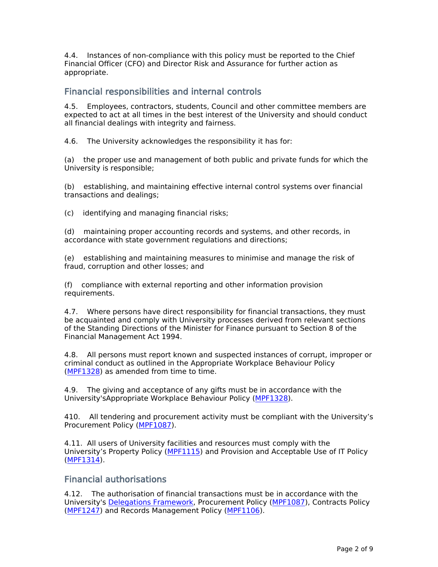4.4. Instances of non-compliance with this policy must be reported to the Chief Financial Officer (CFO) and Director Risk and Assurance for further action as appropriate.

### **Financial responsibilities and internal controls**

4.5. Employees, contractors, students, Council and other committee members are expected to act at all times in the best interest of the University and should conduct all financial dealings with integrity and fairness.

4.6. The University acknowledges the responsibility it has for:

(a) the proper use and management of both public and private funds for which the University is responsible;

(b) establishing, and maintaining effective internal control systems over financial transactions and dealings;

(c) identifying and managing financial risks;

(d) maintaining proper accounting records and systems, and other records, in accordance with state government regulations and directions;

(e) establishing and maintaining measures to minimise and manage the risk of fraud, corruption and other losses; and

(f) compliance with external reporting and other information provision requirements.

4.7. Where persons have direct responsibility for financial transactions, they must be acquainted and comply with University processes derived from relevant sections of the Standing Directions of the Minister for Finance pursuant to Section 8 of the Financial Management Act 1994.

4.8. All persons must report known and suspected instances of corrupt, improper or criminal conduct as outlined in the Appropriate Workplace Behaviour Policy ([MPF1328\)](file:/usr/local/tomcat/MPF1328) as amended from time to time.

4.9. The giving and acceptance of any gifts must be in accordance with the University'sAppropriate Workplace Behaviour Policy ([MPF1328\)](file:/usr/local/tomcat/MPF1328).

410. All tendering and procurement activity must be compliant with the University's Procurement Policy ([MPF1087\)](file:/usr/local/tomcat/MPF1087).

4.11. All users of University facilities and resources must comply with the University's Property Policy ([MPF1115\)](file:/usr/local/tomcat/MPF1115) and Provision and Acceptable Use of IT Policy ([MPF1314\)](file:/usr/local/tomcat/MPF1314).

### **Financial authorisations**

4.12. The authorisation of financial transactions must be in accordance with the University's [Delegations](https://staff.unimelb.edu.au/finance-purchasing-travel/delegations-framework) [Framework](https://staff.unimelb.edu.au/finance-purchasing-travel/delegations-framework), Procurement Policy ([MPF1087\)](file:/usr/local/tomcat/MPF1087), Contracts Policy ([MPF1247\)](file:/usr/local/tomcat/MPF1247) and Records Management Policy ([MPF1106\)](file:/usr/local/tomcat/MPF1106).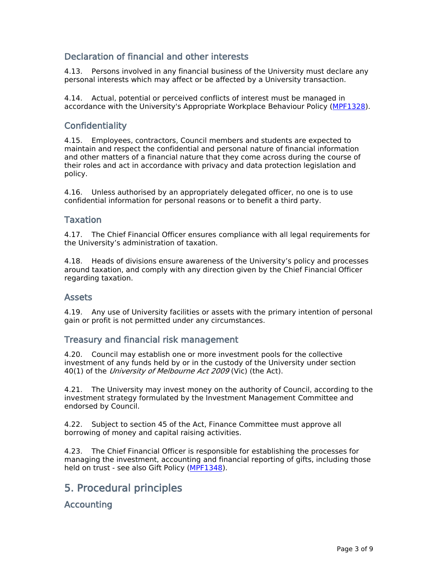### **Declaration of financial and other interests**

4.13. Persons involved in any financial business of the University must declare any personal interests which may affect or be affected by a University transaction.

4.14. Actual, potential or perceived conflicts of interest must be managed in accordance with the University's Appropriate Workplace Behaviour Policy [\(MPF1328\)](file:/usr/local/tomcat/MPF1328).

### **Confidentiality**

4.15. Employees, contractors, Council members and students are expected to maintain and respect the confidential and personal nature of financial information and other matters of a financial nature that they come across during the course of their roles and act in accordance with privacy and data protection legislation and policy.

4.16. Unless authorised by an appropriately delegated officer, no one is to use confidential information for personal reasons or to benefit a third party.

### **Taxation**

4.17. The Chief Financial Officer ensures compliance with all legal requirements for the University's administration of taxation.

4.18. Heads of divisions ensure awareness of the University's policy and processes around taxation, and comply with any direction given by the Chief Financial Officer regarding taxation.

#### **Assets**

4.19. Any use of University facilities or assets with the primary intention of personal gain or profit is not permitted under any circumstances.

### **Treasury and financial risk management**

4.20. Council may establish one or more investment pools for the collective investment of any funds held by or in the custody of the University under section 40(1) of the *University of Melbourne Act 2009* (Vic) (the Act).

4.21. The University may invest money on the authority of Council, according to the investment strategy formulated by the Investment Management Committee and endorsed by Council.

4.22. Subject to section 45 of the Act, Finance Committee must approve all borrowing of money and capital raising activities.

4.23. The Chief Financial Officer is responsible for establishing the processes for managing the investment, accounting and financial reporting of gifts, including those held on trust - see also Gift Policy [\(MPF1348](file:/usr/local/tomcat/MPF1348)).

## **5. Procedural principles**

**Accounting**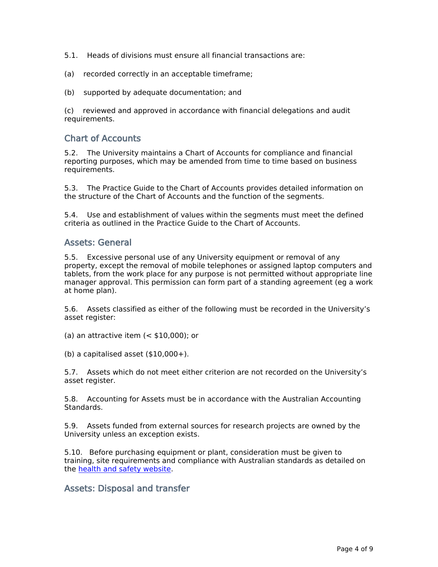- 5.1. Heads of divisions must ensure all financial transactions are:
- (a) recorded correctly in an acceptable timeframe;
- (b) supported by adequate documentation; and

(c) reviewed and approved in accordance with financial delegations and audit requirements.

### **Chart of Accounts**

5.2. The University maintains a Chart of Accounts for compliance and financial reporting purposes, which may be amended from time to time based on business requirements.

5.3. The Practice Guide to the Chart of Accounts provides detailed information on the structure of the Chart of Accounts and the function of the segments.

5.4. Use and establishment of values within the segments must meet the defined criteria as outlined in the Practice Guide to the Chart of Accounts.

#### **Assets: General**

5.5. Excessive personal use of any University equipment or removal of any property, except the removal of mobile telephones or assigned laptop computers and tablets, from the work place for any purpose is not permitted without appropriate line manager approval. This permission can form part of a standing agreement (eg a work at home plan).

5.6. Assets classified as either of the following must be recorded in the University's asset register:

(a) an attractive item  $( $$10,000$ )$ ; or

(b) a capitalised asset  $($10,000+)$ .

5.7. Assets which do not meet either criterion are not recorded on the University's asset register.

5.8. Accounting for Assets must be in accordance with the Australian Accounting Standards.

5.9. Assets funded from external sources for research projects are owned by the University unless an exception exists.

5.10. Before purchasing equipment or plant, consideration must be given to training, site requirements and compliance with Australian standards as detailed on the [health](http://safety.unimelb.edu.au/) [and](http://safety.unimelb.edu.au/) [safety](http://safety.unimelb.edu.au/) [website](http://safety.unimelb.edu.au/).

### **Assets: Disposal and transfer**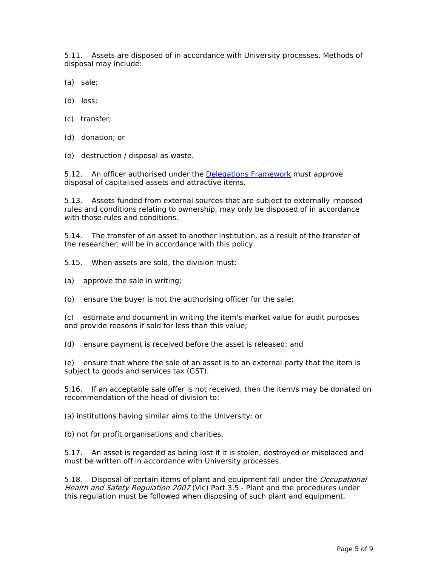5.11. Assets are disposed of in accordance with University processes. Methods of disposal may include:

(a) sale;

(b) loss;

(c) transfer;

(d) donation; or

(e) destruction / disposal as waste.

5.12. An officer authorised under the [Delegations](https://staff.unimelb.edu.au/finance-purchasing-travel/delegations-framework) [Framework](https://staff.unimelb.edu.au/finance-purchasing-travel/delegations-framework) must approve disposal of capitalised assets and attractive items.

5.13. Assets funded from external sources that are subject to externally imposed rules and conditions relating to ownership, may only be disposed of in accordance with those rules and conditions.

5.14. The transfer of an asset to another institution, as a result of the transfer of the researcher, will be in accordance with this policy.

5.15. When assets are sold, the division must:

(a) approve the sale in writing;

(b) ensure the buyer is not the authorising officer for the sale;

(c) estimate and document in writing the item's market value for audit purposes and provide reasons if sold for less than this value;

(d) ensure payment is received before the asset is released; and

(e) ensure that where the sale of an asset is to an external party that the item is subject to goods and services tax (GST).

5.16. If an acceptable sale offer is not received, then the item/s may be donated on recommendation of the head of division to:

(a) institutions having similar aims to the University; or

(b) not for profit organisations and charities.

5.17. An asset is regarded as being lost if it is stolen, destroyed or misplaced and must be written off in accordance with University processes.

5.18. Disposal of certain items of plant and equipment fall under the *Occupational Health and Safety Regulation 2007* (Vic) Part 3.5 - Plant and the procedures under this regulation must be followed when disposing of such plant and equipment.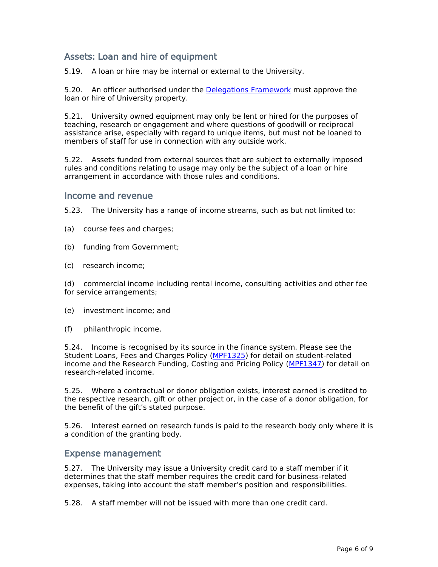### **Assets: Loan and hire of equipment**

5.19. A loan or hire may be internal or external to the University.

5.20. An officer authorised under the [Delegations](https://staff.unimelb.edu.au/finance-purchasing-travel/delegations-framework) [Framework](https://staff.unimelb.edu.au/finance-purchasing-travel/delegations-framework) must approve the loan or hire of University property.

5.21. University owned equipment may only be lent or hired for the purposes of teaching, research or engagement and where questions of goodwill or reciprocal assistance arise, especially with regard to unique items, but must not be loaned to members of staff for use in connection with any outside work.

5.22. Assets funded from external sources that are subject to externally imposed rules and conditions relating to usage may only be the subject of a loan or hire arrangement in accordance with those rules and conditions.

#### **Income and revenue**

5.23. The University has a range of income streams, such as but not limited to:

- (a) course fees and charges;
- (b) funding from Government;
- (c) research income;

(d) commercial income including rental income, consulting activities and other fee for service arrangements;

- (e) investment income; and
- (f) philanthropic income.

5.24. Income is recognised by its source in the finance system. Please see the Student Loans, Fees and Charges Policy [\(MPF1325](file:/usr/local/tomcat/MPF1325)) for detail on student-related income and the Research Funding, Costing and Pricing Policy ([MPF1347\)](file:/usr/local/tomcat/MPF1347) for detail on research-related income.

5.25. Where a contractual or donor obligation exists, interest earned is credited to the respective research, gift or other project or, in the case of a donor obligation, for the benefit of the gift's stated purpose.

5.26. Interest earned on research funds is paid to the research body only where it is a condition of the granting body.

#### **Expense management**

5.27. The University may issue a University credit card to a staff member if it determines that the staff member requires the credit card for business-related expenses, taking into account the staff member's position and responsibilities.

5.28. A staff member will not be issued with more than one credit card.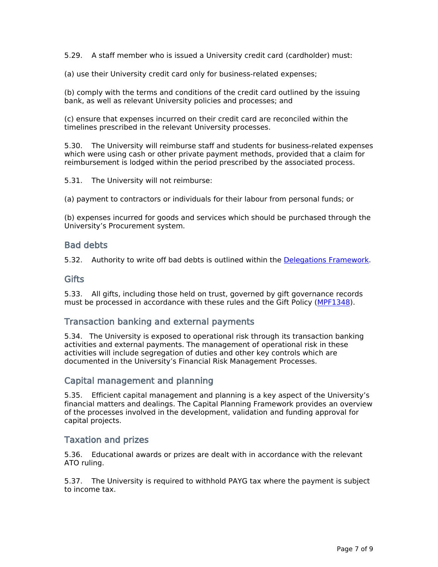5.29. A staff member who is issued a University credit card (cardholder) must:

(a) use their University credit card only for business-related expenses;

(b) comply with the terms and conditions of the credit card outlined by the issuing bank, as well as relevant University policies and processes; and

(c) ensure that expenses incurred on their credit card are reconciled within the timelines prescribed in the relevant University processes.

5.30. The University will reimburse staff and students for business-related expenses which were using cash or other private payment methods, provided that a claim for reimbursement is lodged within the period prescribed by the associated process.

5.31. The University will not reimburse:

(a) payment to contractors or individuals for their labour from personal funds; or

(b) expenses incurred for goods and services which should be purchased through the University's Procurement system.

#### **Bad debts**

5.32. Authority to write off bad debts is outlined within the [Delegations](https://staff.unimelb.edu.au/finance-purchasing-travel/delegations-framework) [Framework.](https://staff.unimelb.edu.au/finance-purchasing-travel/delegations-framework)

#### **Gifts**

5.33. All gifts, including those held on trust, governed by gift governance records must be processed in accordance with these rules and the Gift Policy ([MPF1348\)](file:/usr/local/tomcat/MPF1348).

### **Transaction banking and external payments**

5.34. The University is exposed to operational risk through its transaction banking activities and external payments. The management of operational risk in these activities will include segregation of duties and other key controls which are documented in the University's Financial Risk Management Processes.

#### **Capital management and planning**

5.35. Efficient capital management and planning is a key aspect of the University's financial matters and dealings. The Capital Planning Framework provides an overview of the processes involved in the development, validation and funding approval for capital projects.

#### **Taxation and prizes**

5.36. Educational awards or prizes are dealt with in accordance with the relevant ATO ruling.

5.37. The University is required to withhold PAYG tax where the payment is subject to income tax.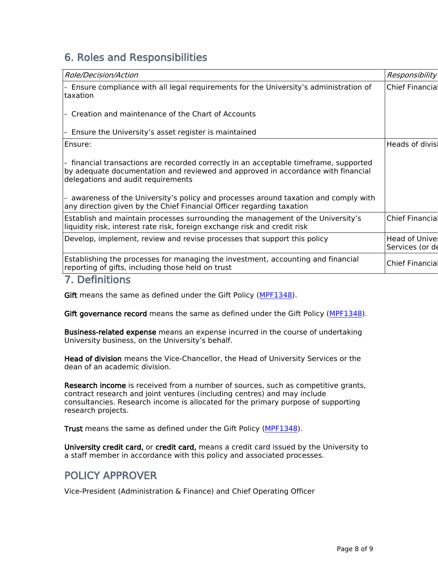## **6. Roles and Responsibilities**

| Role/Decision/Action                                                                                                                                                                                                                                                                                                                                                         | Responsibility                           |
|------------------------------------------------------------------------------------------------------------------------------------------------------------------------------------------------------------------------------------------------------------------------------------------------------------------------------------------------------------------------------|------------------------------------------|
| Ensure compliance with all legal requirements for the University's administration of<br> taxation                                                                                                                                                                                                                                                                            | <b>Chief Financia</b>                    |
| Creation and maintenance of the Chart of Accounts                                                                                                                                                                                                                                                                                                                            |                                          |
| Ensure the University's asset register is maintained                                                                                                                                                                                                                                                                                                                         |                                          |
| Ensure:                                                                                                                                                                                                                                                                                                                                                                      | Heads of divisl                          |
| financial transactions are recorded correctly in an acceptable timeframe, supported<br>by adequate documentation and reviewed and approved in accordance with financial<br>delegations and audit requirements<br>awareness of the University's policy and processes around taxation and comply with<br>any direction given by the Chief Financial Officer regarding taxation |                                          |
| Establish and maintain processes surrounding the management of the University's<br>liquidity risk, interest rate risk, foreign exchange risk and credit risk                                                                                                                                                                                                                 | <b>Chief Financia</b>                    |
| Develop, implement, review and revise processes that support this policy                                                                                                                                                                                                                                                                                                     | <b>Head of Univel</b><br>Services (or de |
| Establishing the processes for managing the investment, accounting and financial<br>reporting of gifts, including those held on trust                                                                                                                                                                                                                                        | <b>Chief Financial</b>                   |
| $\mathbf{r}$ and $\mathbf{r}$ and $\mathbf{r}$ and $\mathbf{r}$ and $\mathbf{r}$                                                                                                                                                                                                                                                                                             |                                          |

### **7. Definitions**

Gift means the same as defined under the Gift Policy ([MPF1348](file:/usr/local/tomcat/MPF1348)).

**Gift governance record** means the same as defined under the Gift Policy [\(MPF1348](file:/usr/local/tomcat/MPF1348)).

**Business-related expense** means an expense incurred in the course of undertaking University business, on the University's behalf.

**Head of division** means the Vice-Chancellor, the Head of University Services or the dean of an academic division.

**Research income** is received from a number of sources, such as competitive grants, contract research and joint ventures (including centres) and may include consultancies. Research income is allocated for the primary purpose of supporting research projects.

**Trust** means the same as defined under the Gift Policy [\(MPF1348](file:/usr/local/tomcat/MPF1348)).

**University credit card,** or **credit card,** means a credit card issued by the University to a staff member in accordance with this policy and associated processes.

## **POLICY APPROVER**

Vice-President (Administration & Finance) and Chief Operating Officer